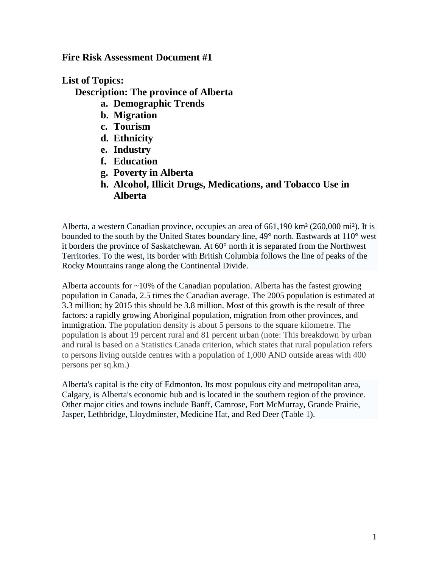**Fire Risk Assessment Document #1**

**List of Topics:**

**Description: The province of Alberta**

- **a. Demographic Trends**
- **b. Migration**
- **c. Tourism**
- **d. Ethnicity**
- **e. Industry**
- **f. Education**
- **g. Poverty in Alberta**
- **h. Alcohol, Illicit Drugs, Medications, and Tobacco Use in Alberta**

Alberta, a western Canadian province, occupies an area of 661,190 km² (260,000 mi²). It is bounded to the south by the United States boundary line, 49° north. Eastwards at 110° west it borders the province of Saskatchewan. At 60° north it is separated from the Northwest Territories. To the west, its border with British Columbia follows the line of peaks of the Rocky Mountains range along the Continental Divide.

Alberta accounts for ~10% of the Canadian population. Alberta has the fastest growing population in Canada, 2.5 times the Canadian average. The 2005 population is estimated at 3.3 million; by 2015 this should be 3.8 million. Most of this growth is the result of three factors: a rapidly growing Aboriginal population, migration from other provinces, and immigration. The population density is about 5 persons to the square kilometre. The population is about 19 percent rural and 81 percent urban (note: This breakdown by urban and rural is based on a Statistics Canada criterion, which states that rural population refers to persons living outside centres with a population of 1,000 AND outside areas with 400 persons per sq.km.)

Alberta's capital is the city of [Edmonton.](http://en.wikipedia.org/wiki/Edmonton%2C_Alberta) Its most populous city and metropolitan area, [Calgary,](http://en.wikipedia.org/wiki/Calgary%2C_Alberta) is Alberta's economic hub and is located in the southern region of the province. Other major cities and towns include [Banff,](http://en.wikipedia.org/wiki/Banff%2C_Alberta) [Camrose,](http://en.wikipedia.org/wiki/Camrose%2C_Alberta) [Fort McMurray,](http://en.wikipedia.org/wiki/Fort_McMurray%2C_Alberta) [Grande Prairie,](http://en.wikipedia.org/wiki/Grande_Prairie%2C_Alberta) [Jasper,](http://en.wikipedia.org/wiki/Jasper%2C_Alberta) [Lethbridge,](http://en.wikipedia.org/wiki/Lethbridge%2C_Alberta) [Lloydminster,](http://en.wikipedia.org/wiki/Lloydminster%2C_Alberta) [Medicine Hat,](http://en.wikipedia.org/wiki/Medicine_Hat%2C_Alberta) and [Red Deer](http://en.wikipedia.org/wiki/Red_Deer%2C_Alberta) (Table 1).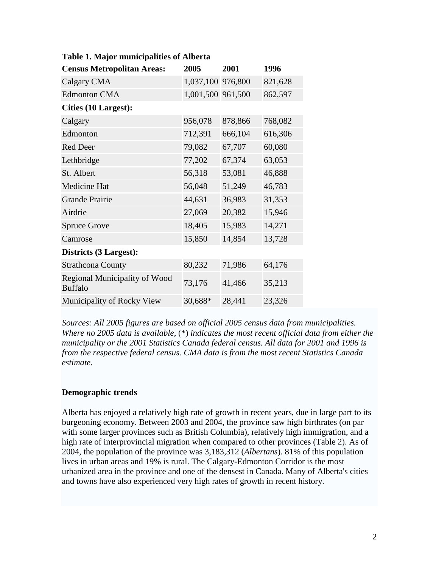| <b>Census Metropolitan Areas:</b>               | 2005              | 2001    | 1996    |
|-------------------------------------------------|-------------------|---------|---------|
| Calgary CMA                                     | 1,037,100 976,800 |         | 821,628 |
| <b>Edmonton CMA</b>                             | 1,001,500 961,500 |         | 862,597 |
| <b>Cities (10 Largest):</b>                     |                   |         |         |
| Calgary                                         | 956,078           | 878,866 | 768,082 |
| Edmonton                                        | 712,391           | 666,104 | 616,306 |
| <b>Red Deer</b>                                 | 79,082            | 67,707  | 60,080  |
| Lethbridge                                      | 77,202            | 67,374  | 63,053  |
| St. Albert                                      | 56,318            | 53,081  | 46,888  |
| Medicine Hat                                    | 56,048            | 51,249  | 46,783  |
| <b>Grande Prairie</b>                           | 44,631            | 36,983  | 31,353  |
| Airdrie                                         | 27,069            | 20,382  | 15,946  |
| <b>Spruce Grove</b>                             | 18,405            | 15,983  | 14,271  |
| Camrose                                         | 15,850            | 14,854  | 13,728  |
| Districts (3 Largest):                          |                   |         |         |
| <b>Strathcona County</b>                        | 80,232            | 71,986  | 64,176  |
| Regional Municipality of Wood<br><b>Buffalo</b> | 73,176            | 41,466  | 35,213  |
| Municipality of Rocky View                      | 30,688*           | 28,441  | 23,326  |

# **Table 1. Major municipalities of Alberta**

*Sources: All 2005 figures are based on official 2005 census data from municipalities. Where no 2005 data is available,* (\*) *indicates the most recent official data from either the municipality or the 2001 Statistics Canada federal census. All data for 2001 and 1996 is from the respective federal census. CMA data is from the most recent Statistics Canada estimate.*

## **Demographic trends**

Alberta has enjoyed a relatively high rate of growth in recent years, due in large part to its burgeoning economy. Between 2003 and 2004, the province saw high birthrates (on par with some larger provinces such as British Columbia), relatively high immigration, and a high rate of interprovincial migration when compared to other provinces (Table 2). As of 2004, the population of the province was 3,183,312 (*Albertans*). 81% of this population lives in urban areas and 19% is rural. The Calgary-Edmonton Corridor is the most urbanized area in the province and one of the densest in Canada. Many of Alberta's cities and towns have also experienced very high rates of growth in recent history.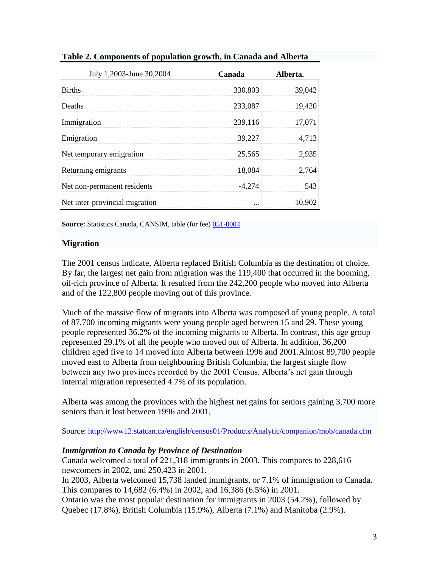| July 1,2003-June 30,2004       | Canada   | Alberta. |
|--------------------------------|----------|----------|
| <b>Births</b>                  | 330,803  | 39,042   |
| Deaths                         | 233,087  | 19,420   |
| Immigration                    | 239,116  | 17,071   |
| Emigration                     | 39,227   | 4,713    |
| Net temporary emigration       | 25,565   | 2,935    |
| Returning emigrants            | 18,084   | 2,764    |
| Net non-permanent residents    | $-4,274$ | 543      |
| Net inter-provincial migration |          | 10,902   |

**Table 2. Components of population growth, in Canada and Alberta**

**Source:** Statistics Canada, CANSIM, table (for fee)  $051-0004$ 

## **Migration**

The 2001 census indicate, Alberta replaced British Columbia as the destination of choice. By far, the largest net gain from migration was the 119,400 that occurred in the booming, oil-rich province of Alberta. It resulted from the 242,200 people who moved into Alberta and of the 122,800 people moving out of this province.

Much of the massive flow of migrants into Alberta was composed of young people. A total of 87,700 incoming migrants were young people aged between 15 and 29. These young people represented 36.2% of the incoming migrants to Alberta. In contrast, this age group represented 29.1% of all the people who moved out of Alberta. In addition, 36,200 children aged five to 14 moved into Alberta between 1996 and 2001.Almost 89,700 people moved east to Alberta from neighbouring British Columbia, the largest single flow between any two provinces recorded by the 2001 Census. Alberta's net gain through internal migration represented 4.7% of its population.

Alberta was among the provinces with the highest net gains for seniors gaining 3,700 more seniors than it lost between 1996 and 2001,

Source[: http://www12.statcan.ca/english/census01/Products/Analytic/companion/mob/canada.cfm](http://www12.statcan.ca/english/census01/Products/Analytic/companion/mob/canada.cfm)

## *Immigration to Canada by Province of Destination*

Canada welcomed a total of 221,318 immigrants in 2003. This compares to 228,616 newcomers in 2002, and 250,423 in 2001.

In 2003, Alberta welcomed 15,738 landed immigrants, or 7.1% of immigration to Canada. This compares to 14,682 (6.4%) in 2002, and 16,386 (6.5%) in 2001.

Ontario was the most popular destination for immigrants in 2003 (54.2%), followed by Quebec (17.8%), British Columbia (15.9%), Alberta (7.1%) and Manitoba (2.9%).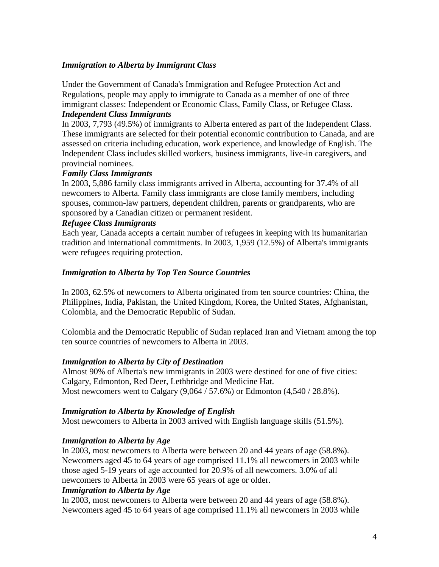### *Immigration to Alberta by Immigrant Class*

Under the Government of Canada's Immigration and Refugee Protection Act and Regulations, people may apply to immigrate to Canada as a member of one of three immigrant classes: Independent or Economic Class, Family Class, or Refugee Class.

### *Independent Class Immigrants*

In 2003, 7,793 (49.5%) of immigrants to Alberta entered as part of the Independent Class. These immigrants are selected for their potential economic contribution to Canada, and are assessed on criteria including education, work experience, and knowledge of English. The Independent Class includes skilled workers, business immigrants, live-in caregivers, and provincial nominees.

### *Family Class Immigrants*

In 2003, 5,886 family class immigrants arrived in Alberta, accounting for 37.4% of all newcomers to Alberta. Family class immigrants are close family members, including spouses, common-law partners, dependent children, parents or grandparents, who are sponsored by a Canadian citizen or permanent resident.

#### *Refugee Class Immigrants*

Each year, Canada accepts a certain number of refugees in keeping with its humanitarian tradition and international commitments. In 2003, 1,959 (12.5%) of Alberta's immigrants were refugees requiring protection.

### *Immigration to Alberta by Top Ten Source Countries*

In 2003, 62.5% of newcomers to Alberta originated from ten source countries: China, the Philippines, India, Pakistan, the United Kingdom, Korea, the United States, Afghanistan, Colombia, and the Democratic Republic of Sudan.

Colombia and the Democratic Republic of Sudan replaced Iran and Vietnam among the top ten source countries of newcomers to Alberta in 2003.

## *Immigration to Alberta by City of Destination*

Almost 90% of Alberta's new immigrants in 2003 were destined for one of five cities: Calgary, Edmonton, Red Deer, Lethbridge and Medicine Hat. Most newcomers went to Calgary (9,064 / 57.6%) or Edmonton (4,540 / 28.8%).

#### *Immigration to Alberta by Knowledge of English*

Most newcomers to Alberta in 2003 arrived with English language skills (51.5%).

## *Immigration to Alberta by Age*

In 2003, most newcomers to Alberta were between 20 and 44 years of age (58.8%). Newcomers aged 45 to 64 years of age comprised 11.1% all newcomers in 2003 while those aged 5-19 years of age accounted for 20.9% of all newcomers. 3.0% of all newcomers to Alberta in 2003 were 65 years of age or older.

## *Immigration to Alberta by Age*

In 2003, most newcomers to Alberta were between 20 and 44 years of age (58.8%). Newcomers aged 45 to 64 years of age comprised 11.1% all newcomers in 2003 while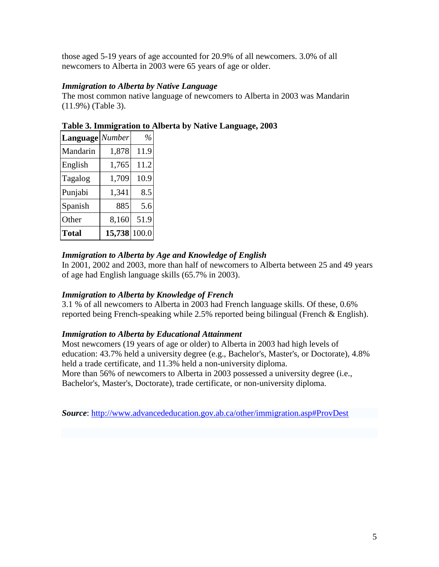those aged 5-19 years of age accounted for 20.9% of all newcomers. 3.0% of all newcomers to Alberta in 2003 were 65 years of age or older.

## *Immigration to Alberta by Native Language*

The most common native language of newcomers to Alberta in 2003 was Mandarin (11.9%) (Table 3).

| Language Number |              | $\%$ |
|-----------------|--------------|------|
| Mandarin        | 1,878        | 11.9 |
| English         | 1,765        | 11.2 |
| Tagalog         | 1,709        | 10.9 |
| Punjabi         | 1,341        | 8.5  |
| Spanish         | 885          | 5.6  |
| Other           | 8,160        | 51.9 |
| <b>Total</b>    | 15,738 100.0 |      |

**Table 3. Immigration to Alberta by Native Language, 2003**

# *Immigration to Alberta by Age and Knowledge of English*

In 2001, 2002 and 2003, more than half of newcomers to Alberta between 25 and 49 years of age had English language skills (65.7% in 2003).

## *Immigration to Alberta by Knowledge of French*

3.1 % of all newcomers to Alberta in 2003 had French language skills. Of these, 0.6% reported being French-speaking while 2.5% reported being bilingual (French & English).

## *Immigration to Alberta by Educational Attainment*

Most newcomers (19 years of age or older) to Alberta in 2003 had high levels of education: 43.7% held a university degree (e.g., Bachelor's, Master's, or Doctorate), 4.8% held a trade certificate, and 11.3% held a non-university diploma. More than 56% of newcomers to Alberta in 2003 possessed a university degree (i.e., Bachelor's, Master's, Doctorate), trade certificate, or non-university diploma.

*Source*:<http://www.advancededucation.gov.ab.ca/other/immigration.asp#ProvDest>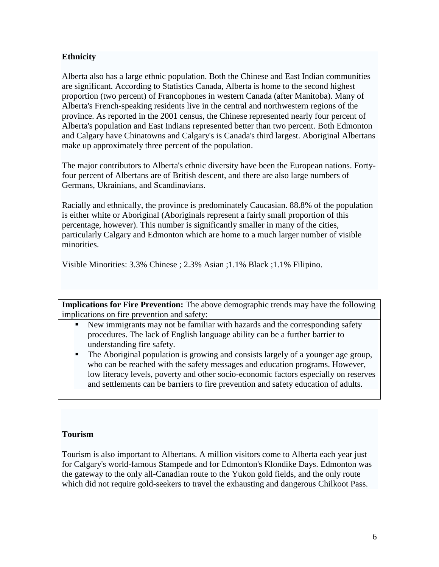## **Ethnicity**

Alberta also has a large ethnic population. Both the Chinese and East Indian communities are significant. According to Statistics Canada, Alberta is home to the second highest proportion (two percent) of Francophones in western Canada (after Manitoba). Many of Alberta's French-speaking residents live in the central and northwestern regions of the province. As reported in the 2001 census, the Chinese represented nearly four percent of Alberta's population and East Indians represented better than two percent. Both Edmonton and Calgary have Chinatowns and Calgary's is Canada's third largest. Aboriginal Albertans make up approximately three percent of the population.

The major contributors to Alberta's ethnic diversity have been the European nations. Fortyfour percent of Albertans are of British descent, and there are also large numbers of Germans, Ukrainians, and Scandinavians.

Racially and ethnically, the province is predominately Caucasian. 88.8% of the population is either white or Aboriginal (Aboriginals represent a fairly small proportion of this percentage, however). This number is significantly smaller in many of the cities, particularly Calgary and Edmonton which are home to a much larger number of visible minorities.

Visible Minorities: 3.3% Chinese ; 2.3% Asian ;1.1% Black ;1.1% Filipino.

**Implications for Fire Prevention:** The above demographic trends may have the following implications on fire prevention and safety:

- New immigrants may not be familiar with hazards and the corresponding safety procedures. The lack of English language ability can be a further barrier to understanding fire safety.
- The Aboriginal population is growing and consists largely of a younger age group, who can be reached with the safety messages and education programs. However, low literacy levels, poverty and other socio-economic factors especially on reserves and settlements can be barriers to fire prevention and safety education of adults.

#### **Tourism**

Tourism is also important to Albertans. A million visitors come to Alberta each year just for Calgary's world-famous Stampede and for Edmonton's Klondike Days. Edmonton was the gateway to the only all-Canadian route to the Yukon gold fields, and the only route which did not require gold-seekers to travel the exhausting and dangerous Chilkoot Pass.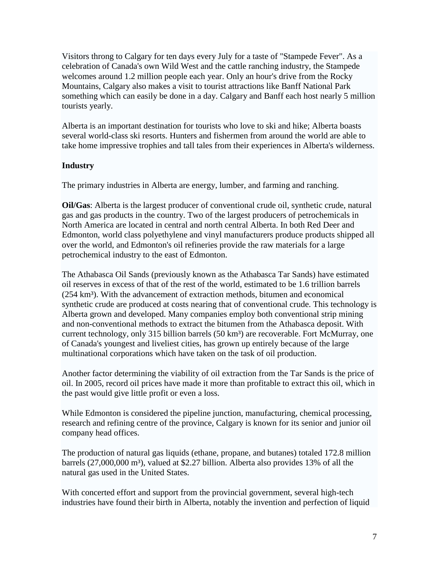Visitors throng to Calgary for ten days every July for a taste of "Stampede Fever". As a celebration of Canada's own Wild West and the cattle ranching industry, the Stampede welcomes around 1.2 million people each year. Only an hour's drive from the Rocky Mountains, Calgary also makes a visit to tourist attractions like Banff National Park something which can easily be done in a day. Calgary and Banff each host nearly 5 million tourists yearly.

Alberta is an important destination for tourists who love to ski and hike; Alberta boasts several world-class ski resorts. Hunters and fishermen from around the world are able to take home impressive trophies and tall tales from their experiences in Alberta's wilderness.

### **Industry**

The primary industries in Alberta are energy, lumber, and farming and ranching.

**Oil/Gas**: Alberta is the largest producer of conventional crude oil, synthetic crude, natural gas and gas products in the country. Two of the largest producers of petrochemicals in North America are located in central and north central Alberta. In both Red Deer and Edmonton, world class polyethylene and vinyl manufacturers produce products shipped all over the world, and Edmonton's oil refineries provide the raw materials for a large petrochemical industry to the east of Edmonton.

The Athabasca Oil Sands (previously known as the Athabasca Tar Sands) have estimated oil reserves in excess of that of the rest of the world, estimated to be 1.6 trillion barrels  $(254 \text{ km}^3)$ . With the advancement of extraction methods, bitumen and economical synthetic crude are produced at costs nearing that of conventional crude. This technology is Alberta grown and developed. Many companies employ both conventional strip mining and non-conventional methods to extract the bitumen from the Athabasca deposit. With current technology, only 315 billion barrels (50 km<sup>3</sup>) are recoverable. Fort McMurray, one of Canada's youngest and liveliest cities, has grown up entirely because of the large multinational corporations which have taken on the task of oil production.

Another factor determining the viability of oil extraction from the Tar Sands is the price of oil. In 2005, record oil prices have made it more than profitable to extract this oil, which in the past would give little profit or even a loss.

While Edmonton is considered the pipeline junction, manufacturing, chemical processing, research and refining centre of the province, Calgary is known for its senior and junior oil company head offices.

The production of natural gas liquids (ethane, propane, and butanes) totaled 172.8 million barrels (27,000,000 m<sup>3</sup>), valued at \$2.27 billion. Alberta also provides 13% of all the natural gas used in the United States.

With concerted effort and support from the provincial government, several high-tech industries have found their birth in Alberta, notably the invention and perfection of liquid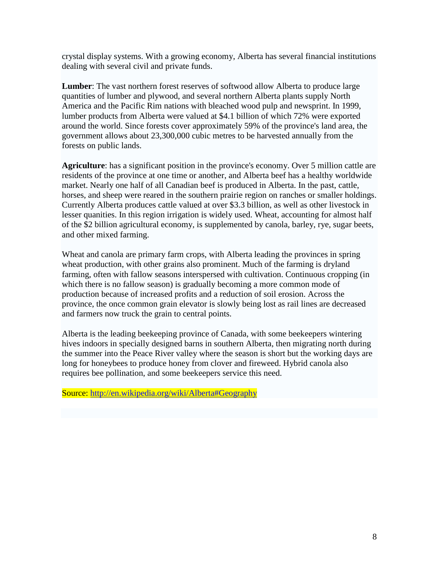crystal display systems. With a growing economy, Alberta has several financial institutions dealing with several civil and private funds.

**Lumber**: The vast northern forest reserves of softwood allow Alberta to produce large quantities of lumber and plywood, and several northern Alberta plants supply North America and the Pacific Rim nations with bleached wood pulp and newsprint. In 1999, lumber products from Alberta were valued at \$4.1 billion of which 72% were exported around the world. Since forests cover approximately 59% of the province's land area, the government allows about 23,300,000 cubic metres to be harvested annually from the forests on public lands.

**Agriculture**: has a significant position in the province's economy. Over 5 million cattle are residents of the province at one time or another, and Alberta beef has a healthy worldwide market. Nearly one half of all Canadian beef is produced in Alberta. In the past, cattle, horses, and sheep were reared in the southern prairie region on ranches or smaller holdings. Currently Alberta produces cattle valued at over \$3.3 billion, as well as other livestock in lesser quanities. In this region irrigation is widely used. Wheat, accounting for almost half of the \$2 billion agricultural economy, is supplemented by canola, barley, rye, sugar beets, and other mixed farming.

Wheat and canola are primary farm crops, with Alberta leading the provinces in spring wheat production, with other grains also prominent. Much of the farming is dryland farming, often with fallow seasons interspersed with cultivation. Continuous cropping (in which there is no fallow season) is gradually becoming a more common mode of production because of increased profits and a reduction of soil erosion. Across the province, the once common grain elevator is slowly being lost as rail lines are decreased and farmers now truck the grain to central points.

Alberta is the leading beekeeping province of Canada, with some beekeepers wintering hives indoors in specially designed barns in southern Alberta, then migrating north during the summer into the Peace River valley where the season is short but the working days are long for honeybees to produce honey from clover and fireweed. Hybrid canola also requires bee pollination, and some beekeepers service this need.

Source:<http://en.wikipedia.org/wiki/Alberta#Geography>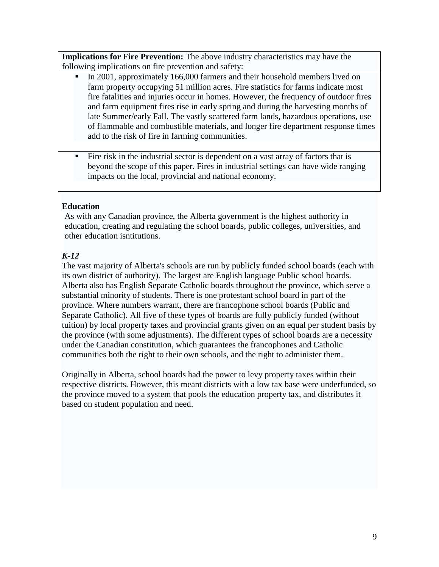**Implications for Fire Prevention:** The above industry characteristics may have the following implications on fire prevention and safety:

- In 2001, approximately 166,000 farmers and their household members lived on farm property occupying 51 million acres. Fire statistics for farms indicate most fire fatalities and injuries occur in homes. However, the frequency of outdoor fires and farm equipment fires rise in early spring and during the harvesting months of late Summer/early Fall. The vastly scattered farm lands, hazardous operations, use of flammable and combustible materials, and longer fire department response times add to the risk of fire in farming communities.
- Fire risk in the industrial sector is dependent on a vast array of factors that is beyond the scope of this paper. Fires in industrial settings can have wide ranging impacts on the local, provincial and national economy.

## **Education**

As with any Canadian province, the Alberta government is the highest authority in education, creating and regulating the school boards, public colleges, universities, and other education isntitutions.

# *K-12*

The vast majority of Alberta's schools are run by publicly funded school boards (each with its own district of authority). The largest are English language Public school boards. Alberta also has English Separate Catholic boards throughout the province, which serve a substantial minority of students. There is one protestant school board in part of the province. Where numbers warrant, there are francophone school boards (Public and Separate Catholic). All five of these types of boards are fully publicly funded (without tuition) by local property taxes and provincial grants given on an equal per student basis by the province (with some adjustments). The different types of school boards are a necessity under the Canadian constitution, which guarantees the francophones and Catholic communities both the right to their own schools, and the right to administer them.

Originally in Alberta, school boards had the power to levy property taxes within their respective districts. However, this meant districts with a low tax base were underfunded, so the province moved to a system that pools the education property tax, and distributes it based on student population and need.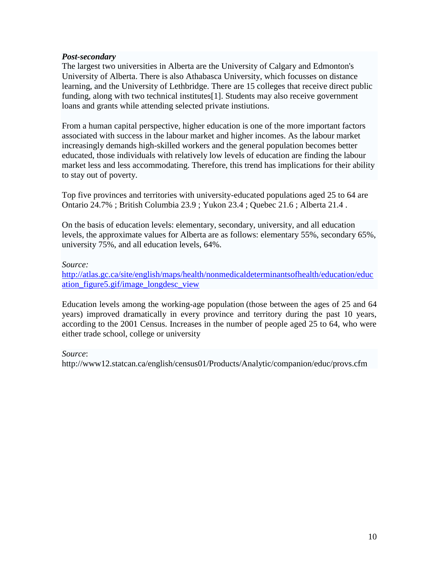### *Post-secondary*

The largest two universities in Alberta are the University of Calgary and Edmonton's University of Alberta. There is also Athabasca University, which focusses on distance learning, and the University of Lethbridge. There are 15 colleges that receive direct public funding, along with two technical institutes[1]. Students may also receive government loans and grants while attending selected private instiutions.

From a human capital perspective, higher education is one of the more important factors associated with success in the labour market and higher incomes. As the labour market increasingly demands high-skilled workers and the general population becomes better educated, those individuals with relatively low levels of education are finding the labour market less and less accommodating. Therefore, this trend has implications for their ability to stay out of poverty.

Top five provinces and territories with university-educated populations aged 25 to 64 are Ontario 24.7% ; British Columbia 23.9 ; Yukon 23.4 ; Quebec 21.6 ; Alberta 21.4 .

On the basis of education levels: elementary, secondary, university, and all education levels, the approximate values for Alberta are as follows: elementary 55%, secondary 65%, university 75%, and all education levels, 64%.

#### *Source:*

[http://atlas.gc.ca/site/english/maps/health/nonmedicaldeterminantsofhealth/education/educ](http://atlas.gc.ca/site/english/maps/health/nonmedicaldeterminantsofhealth/education/education_figure5.gif/image_longdesc_view) [ation\\_figure5.gif/image\\_longdesc\\_view](http://atlas.gc.ca/site/english/maps/health/nonmedicaldeterminantsofhealth/education/education_figure5.gif/image_longdesc_view)

Education levels among the working-age population (those between the ages of 25 and 64 years) improved dramatically in every province and territory during the past 10 years, according to the 2001 Census. Increases in the number of people aged 25 to 64, who were either trade school, college or university

#### *Source*:

http://www12.statcan.ca/english/census01/Products/Analytic/companion/educ/provs.cfm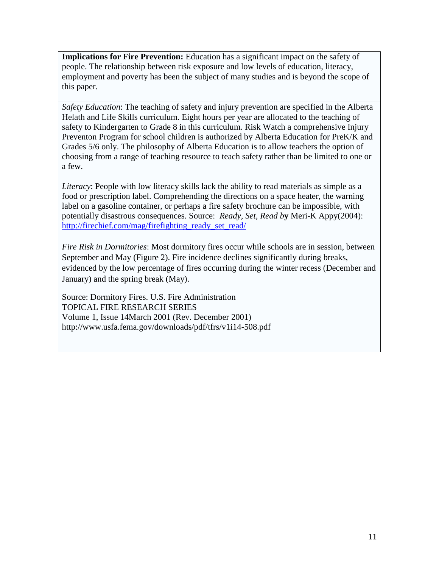**Implications for Fire Prevention:** Education has a significant impact on the safety of people. The relationship between risk exposure and low levels of education, literacy, employment and poverty has been the subject of many studies and is beyond the scope of this paper.

*Safety Education*: The teaching of safety and injury prevention are specified in the Alberta Helath and Life Skills curriculum. Eight hours per year are allocated to the teaching of safety to Kindergarten to Grade 8 in this curriculum. Risk Watch a comprehensive Injury Preventon Program for school children is authorized by Alberta Education for PreK/K and Grades 5/6 only. The philosophy of Alberta Education is to allow teachers the option of choosing from a range of teaching resource to teach safety rather than be limited to one or a few.

*Literacy*: People with low literacy skills lack the ability to read materials as simple as a food or prescription label. Comprehending the directions on a space heater, the warning label on a gasoline container, or perhaps a fire safety brochure can be impossible, with potentially disastrous consequences. Source: *Ready, Set, Read b***y** Meri-K Appy(2004): [http://firechief.com/mag/firefighting\\_ready\\_set\\_read/](http://firechief.com/mag/firefighting_ready_set_read/)

*Fire Risk in Dormitories*: Most dormitory fires occur while schools are in session, between September and May (Figure 2). Fire incidence declines significantly during breaks, evidenced by the low percentage of fires occurring during the winter recess (December and January) and the spring break (May).

Source: Dormitory Fires. U.S. Fire Administration TOPICAL FIRE RESEARCH SERIES Volume 1, Issue 14March 2001 (Rev. December 2001) http://www.usfa.fema.gov/downloads/pdf/tfrs/v1i14-508.pdf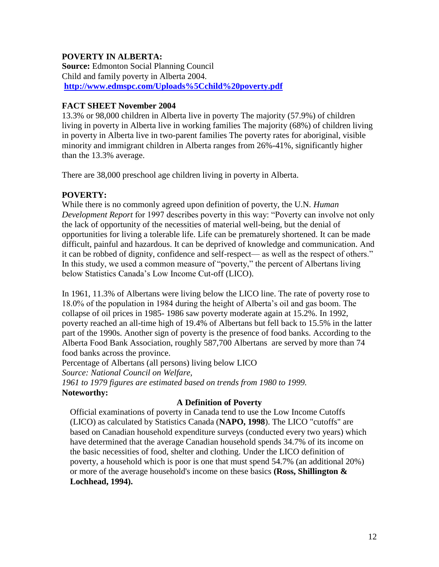## **POVERTY IN ALBERTA:**

**Source:** Edmonton Social Planning Council Child and family poverty in Alberta 2004. **<http://www.edmspc.com/Uploads%5Cchild%20poverty.pdf>**

## **FACT SHEET November 2004**

13.3% or 98,000 children in Alberta live in poverty The majority (57.9%) of children living in poverty in Alberta live in working families The majority (68%) of children living in poverty in Alberta live in two-parent families The poverty rates for aboriginal, visible minority and immigrant children in Alberta ranges from 26%-41%, significantly higher than the 13.3% average.

There are 38,000 preschool age children living in poverty in Alberta.

# **POVERTY:**

While there is no commonly agreed upon definition of poverty, the U.N. *Human Development Report* for 1997 describes poverty in this way: "Poverty can involve not only the lack of opportunity of the necessities of material well-being, but the denial of opportunities for living a tolerable life. Life can be prematurely shortened. It can be made difficult, painful and hazardous. It can be deprived of knowledge and communication. And it can be robbed of dignity, confidence and self-respect— as well as the respect of others." In this study, we used a common measure of "poverty," the percent of Albertans living below Statistics Canada's Low Income Cut-off (LICO).

In 1961, 11.3% of Albertans were living below the LICO line. The rate of poverty rose to 18.0% of the population in 1984 during the height of Alberta's oil and gas boom. The collapse of oil prices in 1985- 1986 saw poverty moderate again at 15.2%. In 1992, poverty reached an all-time high of 19.4% of Albertans but fell back to 15.5% in the latter part of the 1990s. Another sign of poverty is the presence of food banks. According to the Alberta Food Bank Association, roughly 587,700 Albertans are served by more than 74 food banks across the province.

Percentage of Albertans (all persons) living below LICO *Source: National Council on Welfare, 1961 to 1979 figures are estimated based on trends from 1980 to 1999.* **Noteworthy:**

## **A Definition of Poverty**

Official examinations of poverty in Canada tend to use the Low Income Cutoffs (LICO) as calculated by Statistics Canada (**NAPO, 1998**). The LICO "cutoffs" are based on Canadian household expenditure surveys (conducted every two years) which have determined that the average Canadian household spends 34.7% of its income on the basic necessities of food, shelter and clothing. Under the LICO definition of poverty, a household which is poor is one that must spend 54.7% (an additional 20%) or more of the average household's income on these basics **(Ross, Shillington & Lochhead, 1994).**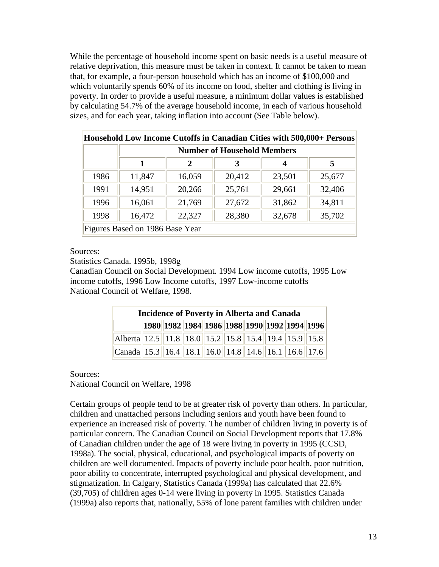While the percentage of household income spent on basic needs is a useful measure of relative deprivation, this measure must be taken in context. It cannot be taken to mean that, for example, a four-person household which has an income of \$100,000 and which voluntarily spends 60% of its income on food, shelter and clothing is living in poverty. In order to provide a useful measure, a minimum dollar values is established by calculating 54.7% of the average household income, in each of various household sizes, and for each year, taking inflation into account (See Table below).

| HOUSEHOIG LOW HICOHIE CULOHS III CAHAGIAH CHIES WILH 500,000+ FEISONS |                                    |             |        |        |        |  |
|-----------------------------------------------------------------------|------------------------------------|-------------|--------|--------|--------|--|
|                                                                       | <b>Number of Household Members</b> |             |        |        |        |  |
|                                                                       | 1                                  | $\mathbf 2$ | 3      | 4      | 5      |  |
| 1986                                                                  | 11,847                             | 16,059      | 20,412 | 23,501 | 25,677 |  |
| 1991                                                                  | 14,951                             | 20,266      | 25,761 | 29,661 | 32,406 |  |
| 1996                                                                  | 16,061                             | 21,769      | 27,672 | 31,862 | 34,811 |  |
| 1998                                                                  | 16,472                             | 22,327      | 28,380 | 32,678 | 35,702 |  |
| Figures Based on 1986 Base Year                                       |                                    |             |        |        |        |  |

Household Low Income Cutoffs in Canadian Cities with 500,000+ Persons

Sources:

Statistics Canada. 1995b, 1998g

Canadian Council on Social Development. 1994 Low income cutoffs, 1995 Low income cutoffs, 1996 Low Income cutoffs, 1997 Low-income cutoffs National Council of Welfare, 1998.

| <b>Incidence of Poverty in Alberta and Canada</b>    |  |  |  |  |  |  |                                              |  |
|------------------------------------------------------|--|--|--|--|--|--|----------------------------------------------|--|
|                                                      |  |  |  |  |  |  | 1980 1982 1984 1986 1988 1990 1992 1994 1996 |  |
| Alberta 12.5 11.8 18.0 15.2 15.8 15.4 19.4 15.9 15.8 |  |  |  |  |  |  |                                              |  |
| Canada 15.3 16.4 18.1 16.0 14.8 14.6 16.1 16.6 17.6  |  |  |  |  |  |  |                                              |  |

Sources:

National Council on Welfare, 1998

Certain groups of people tend to be at greater risk of poverty than others. In particular, children and unattached persons including seniors and youth have been found to experience an increased risk of poverty. The number of children living in poverty is of particular concern. The Canadian Council on Social Development reports that 17.8% of Canadian children under the age of 18 were living in poverty in 1995 (CCSD, 1998a). The social, physical, educational, and psychological impacts of poverty on children are well documented. Impacts of poverty include poor health, poor nutrition, poor ability to concentrate, interrupted psychological and physical development, and stigmatization. In Calgary, Statistics Canada (1999a) has calculated that 22.6% (39,705) of children ages 0-14 were living in poverty in 1995. Statistics Canada (1999a) also reports that, nationally, 55% of lone parent families with children under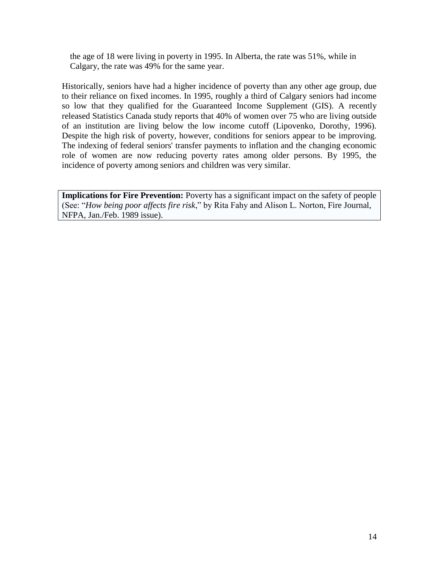the age of 18 were living in poverty in 1995. In Alberta, the rate was 51%, while in Calgary, the rate was 49% for the same year.

Historically, seniors have had a higher incidence of poverty than any other age group, due to their reliance on fixed incomes. In 1995, roughly a third of Calgary seniors had income so low that they qualified for the Guaranteed Income Supplement (GIS). A recently released Statistics Canada study reports that 40% of women over 75 who are living outside of an institution are living below the low income cutoff (Lipovenko, Dorothy, 1996). Despite the high risk of poverty, however, conditions for seniors appear to be improving. The indexing of federal seniors' transfer payments to inflation and the changing economic role of women are now reducing poverty rates among older persons. By 1995, the incidence of poverty among seniors and children was very similar.

**Implications for Fire Prevention:** Poverty has a significant impact on the safety of people (See: "*How being poor affects fire risk*," by Rita Fahy and Alison L. Norton, Fire Journal, NFPA, Jan./Feb. 1989 issue).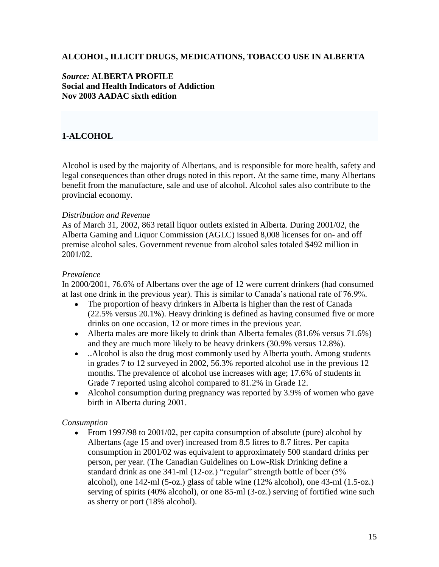### **ALCOHOL, ILLICIT DRUGS, MEDICATIONS, TOBACCO USE IN ALBERTA**

#### *Source:* **ALBERTA PROFILE Social and Health Indicators of Addiction Nov 2003 AADAC sixth edition**

# **1-ALCOHOL**

Alcohol is used by the majority of Albertans, and is responsible for more health, safety and legal consequences than other drugs noted in this report. At the same time, many Albertans benefit from the manufacture, sale and use of alcohol. Alcohol sales also contribute to the provincial economy.

#### *Distribution and Revenue*

As of March 31, 2002, 863 retail liquor outlets existed in Alberta. During 2001/02, the Alberta Gaming and Liquor Commission (AGLC) issued 8,008 licenses for on- and off premise alcohol sales. Government revenue from alcohol sales totaled \$492 million in 2001/02.

#### *Prevalence*

In 2000/2001, 76.6% of Albertans over the age of 12 were current drinkers (had consumed at last one drink in the previous year). This is similar to Canada's national rate of 76.9%.

- The proportion of heavy drinkers in Alberta is higher than the rest of Canada (22.5% versus 20.1%). Heavy drinking is defined as having consumed five or more drinks on one occasion, 12 or more times in the previous year.
- Alberta males are more likely to drink than Alberta females (81.6% versus 71.6%) and they are much more likely to be heavy drinkers (30.9% versus 12.8%).
- ..Alcohol is also the drug most commonly used by Alberta youth. Among students in grades 7 to 12 surveyed in 2002, 56.3% reported alcohol use in the previous 12 months. The prevalence of alcohol use increases with age; 17.6% of students in Grade 7 reported using alcohol compared to 81.2% in Grade 12.
- Alcohol consumption during pregnancy was reported by 3.9% of women who gave birth in Alberta during 2001.

#### *Consumption*

• From 1997/98 to 2001/02, per capita consumption of absolute (pure) alcohol by Albertans (age 15 and over) increased from 8.5 litres to 8.7 litres. Per capita consumption in 2001/02 was equivalent to approximately 500 standard drinks per person, per year. (The Canadian Guidelines on Low-Risk Drinking define a standard drink as one 341-ml (12-oz.) "regular" strength bottle of beer (5% alcohol), one 142-ml (5-oz.) glass of table wine (12% alcohol), one 43-ml (1.5-oz.) serving of spirits (40% alcohol), or one 85-ml (3-oz.) serving of fortified wine such as sherry or port (18% alcohol).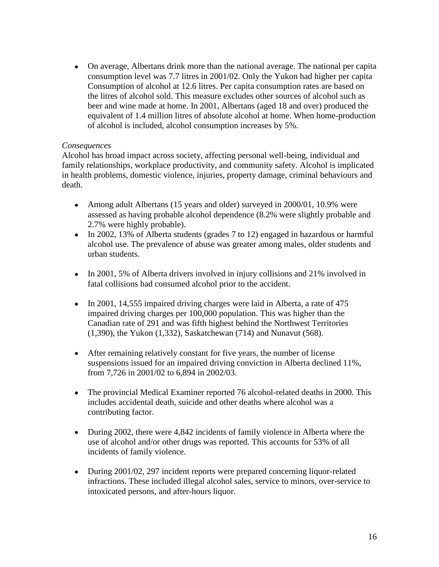On average, Albertans drink more than the national average. The national per capita consumption level was 7.7 litres in 2001/02. Only the Yukon had higher per capita Consumption of alcohol at 12.6 litres. Per capita consumption rates are based on the litres of alcohol sold. This measure excludes other sources of alcohol such as beer and wine made at home. In 2001, Albertans (aged 18 and over) produced the equivalent of 1.4 million litres of absolute alcohol at home. When home-production of alcohol is included, alcohol consumption increases by 5%.

#### *Consequences*

Alcohol has broad impact across society, affecting personal well-being, individual and family relationships, workplace productivity, and community safety. Alcohol is implicated in health problems, domestic violence, injuries, property damage, criminal behaviours and death.

- Among adult Albertans (15 years and older) surveyed in 2000/01, 10.9% were assessed as having probable alcohol dependence (8.2% were slightly probable and 2.7% were highly probable).
- In 2002, 13% of Alberta students (grades 7 to 12) engaged in hazardous or harmful alcohol use. The prevalence of abuse was greater among males, older students and urban students.
- In 2001, 5% of Alberta drivers involved in injury collisions and 21% involved in fatal collisions had consumed alcohol prior to the accident.
- In 2001, 14,555 impaired driving charges were laid in Alberta, a rate of 475 impaired driving charges per 100,000 population. This was higher than the Canadian rate of 291 and was fifth highest behind the Northwest Territories (1,390), the Yukon (1,332), Saskatchewan (714) and Nunavut (568).
- After remaining relatively constant for five years, the number of license suspensions issued for an impaired driving conviction in Alberta declined 11%, from 7,726 in 2001/02 to 6,894 in 2002/03.
- The provincial Medical Examiner reported 76 alcohol-related deaths in 2000. This  $\bullet$ includes accidental death, suicide and other deaths where alcohol was a contributing factor.
- During 2002, there were 4,842 incidents of family violence in Alberta where the  $\bullet$ use of alcohol and/or other drugs was reported. This accounts for 53% of all incidents of family violence.
- During 2001/02, 297 incident reports were prepared concerning liquor-related infractions. These included illegal alcohol sales, service to minors, over-service to intoxicated persons, and after-hours liquor.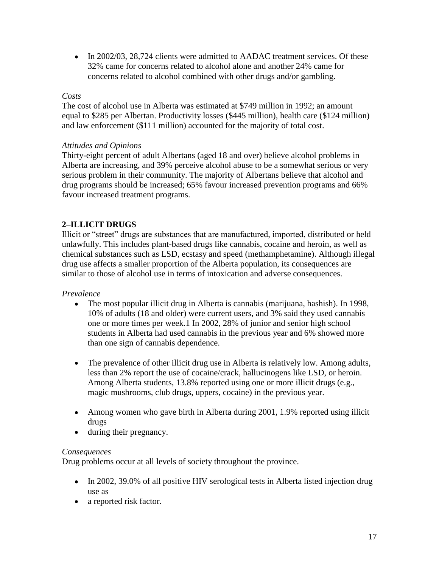• In 2002/03, 28,724 clients were admitted to AADAC treatment services. Of these 32% came for concerns related to alcohol alone and another 24% came for concerns related to alcohol combined with other drugs and/or gambling.

#### *Costs*

The cost of alcohol use in Alberta was estimated at \$749 million in 1992; an amount equal to \$285 per Albertan. Productivity losses (\$445 million), health care (\$124 million) and law enforcement (\$111 million) accounted for the majority of total cost.

### *Attitudes and Opinions*

Thirty-eight percent of adult Albertans (aged 18 and over) believe alcohol problems in Alberta are increasing, and 39% perceive alcohol abuse to be a somewhat serious or very serious problem in their community. The majority of Albertans believe that alcohol and drug programs should be increased; 65% favour increased prevention programs and 66% favour increased treatment programs.

# **2–ILLICIT DRUGS**

Illicit or "street" drugs are substances that are manufactured, imported, distributed or held unlawfully. This includes plant-based drugs like cannabis, cocaine and heroin, as well as chemical substances such as LSD, ecstasy and speed (methamphetamine). Although illegal drug use affects a smaller proportion of the Alberta population, its consequences are similar to those of alcohol use in terms of intoxication and adverse consequences.

## *Prevalence*

- The most popular illicit drug in Alberta is cannabis (marijuana, hashish). In 1998, 10% of adults (18 and older) were current users, and 3% said they used cannabis one or more times per week.1 In 2002, 28% of junior and senior high school students in Alberta had used cannabis in the previous year and 6% showed more than one sign of cannabis dependence.
- The prevalence of other illicit drug use in Alberta is relatively low. Among adults, less than 2% report the use of cocaine/crack, hallucinogens like LSD, or heroin. Among Alberta students, 13.8% reported using one or more illicit drugs (e.g., magic mushrooms, club drugs, uppers, cocaine) in the previous year.
- Among women who gave birth in Alberta during 2001, 1.9% reported using illicit drugs
- during their pregnancy.  $\bullet$

#### *Consequences*

Drug problems occur at all levels of society throughout the province.

- In 2002, 39.0% of all positive HIV serological tests in Alberta listed injection drug use as
- a reported risk factor.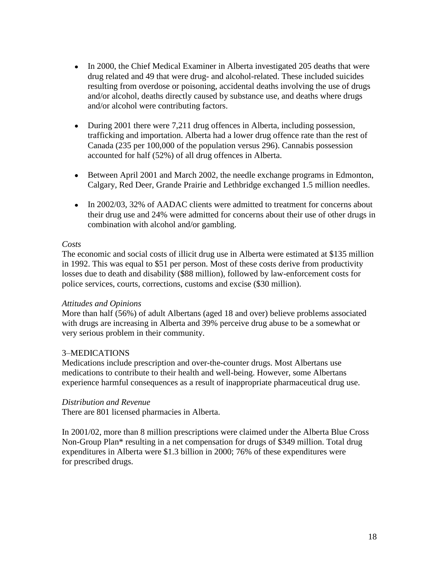- In 2000, the Chief Medical Examiner in Alberta investigated 205 deaths that were drug related and 49 that were drug- and alcohol-related. These included suicides resulting from overdose or poisoning, accidental deaths involving the use of drugs and/or alcohol, deaths directly caused by substance use, and deaths where drugs and/or alcohol were contributing factors.
- During 2001 there were 7,211 drug offences in Alberta, including possession, trafficking and importation. Alberta had a lower drug offence rate than the rest of Canada (235 per 100,000 of the population versus 296). Cannabis possession accounted for half (52%) of all drug offences in Alberta.
- Between April 2001 and March 2002, the needle exchange programs in Edmonton, Calgary, Red Deer, Grande Prairie and Lethbridge exchanged 1.5 million needles.
- $\bullet$ In 2002/03, 32% of AADAC clients were admitted to treatment for concerns about their drug use and 24% were admitted for concerns about their use of other drugs in combination with alcohol and/or gambling.

#### *Costs*

The economic and social costs of illicit drug use in Alberta were estimated at \$135 million in 1992. This was equal to \$51 per person. Most of these costs derive from productivity losses due to death and disability (\$88 million), followed by law-enforcement costs for police services, courts, corrections, customs and excise (\$30 million).

#### *Attitudes and Opinions*

More than half (56%) of adult Albertans (aged 18 and over) believe problems associated with drugs are increasing in Alberta and 39% perceive drug abuse to be a somewhat or very serious problem in their community.

## 3–MEDICATIONS

Medications include prescription and over-the-counter drugs. Most Albertans use medications to contribute to their health and well-being. However, some Albertans experience harmful consequences as a result of inappropriate pharmaceutical drug use.

#### *Distribution and Revenue*

There are 801 licensed pharmacies in Alberta.

In 2001/02, more than 8 million prescriptions were claimed under the Alberta Blue Cross Non-Group Plan\* resulting in a net compensation for drugs of \$349 million. Total drug expenditures in Alberta were \$1.3 billion in 2000; 76% of these expenditures were for prescribed drugs.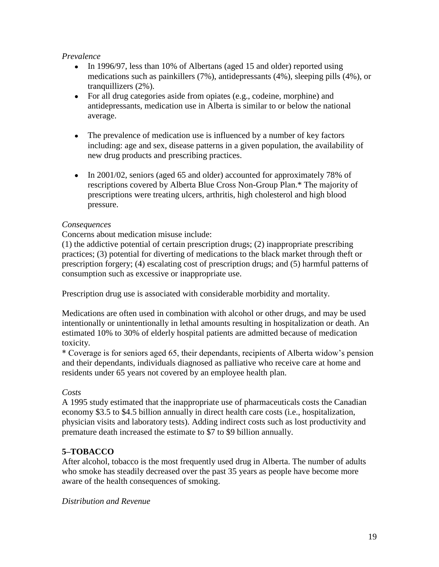### *Prevalence*

- In 1996/97, less than 10% of Albertans (aged 15 and older) reported using medications such as painkillers (7%), antidepressants (4%), sleeping pills (4%), or tranquillizers (2%).
- For all drug categories aside from opiates (e.g., codeine, morphine) and antidepressants, medication use in Alberta is similar to or below the national average.
- $\bullet$ The prevalence of medication use is influenced by a number of key factors including: age and sex, disease patterns in a given population, the availability of new drug products and prescribing practices.
- In 2001/02, seniors (aged 65 and older) accounted for approximately 78% of rescriptions covered by Alberta Blue Cross Non-Group Plan.\* The majority of prescriptions were treating ulcers, arthritis, high cholesterol and high blood pressure.

## *Consequences*

Concerns about medication misuse include:

(1) the addictive potential of certain prescription drugs; (2) inappropriate prescribing practices; (3) potential for diverting of medications to the black market through theft or prescription forgery; (4) escalating cost of prescription drugs; and (5) harmful patterns of consumption such as excessive or inappropriate use.

Prescription drug use is associated with considerable morbidity and mortality.

Medications are often used in combination with alcohol or other drugs, and may be used intentionally or unintentionally in lethal amounts resulting in hospitalization or death. An estimated 10% to 30% of elderly hospital patients are admitted because of medication toxicity.

\* Coverage is for seniors aged 65, their dependants, recipients of Alberta widow's pension and their dependants, individuals diagnosed as palliative who receive care at home and residents under 65 years not covered by an employee health plan.

## *Costs*

A 1995 study estimated that the inappropriate use of pharmaceuticals costs the Canadian economy \$3.5 to \$4.5 billion annually in direct health care costs (i.e., hospitalization, physician visits and laboratory tests). Adding indirect costs such as lost productivity and premature death increased the estimate to \$7 to \$9 billion annually.

## **5–TOBACCO**

After alcohol, tobacco is the most frequently used drug in Alberta. The number of adults who smoke has steadily decreased over the past 35 years as people have become more aware of the health consequences of smoking.

*Distribution and Revenue*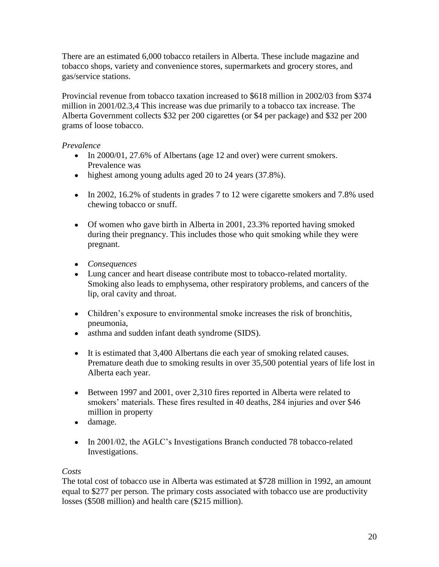There are an estimated 6,000 tobacco retailers in Alberta. These include magazine and tobacco shops, variety and convenience stores, supermarkets and grocery stores, and gas/service stations.

Provincial revenue from tobacco taxation increased to \$618 million in 2002/03 from \$374 million in 2001/02.3,4 This increase was due primarily to a tobacco tax increase. The Alberta Government collects \$32 per 200 cigarettes (or \$4 per package) and \$32 per 200 grams of loose tobacco.

## *Prevalence*

- In 2000/01, 27.6% of Albertans (age 12 and over) were current smokers. Prevalence was
- highest among young adults aged 20 to 24 years (37.8%).
- In 2002, 16.2% of students in grades 7 to 12 were cigarette smokers and 7.8% used chewing tobacco or snuff.
- Of women who gave birth in Alberta in 2001, 23.3% reported having smoked during their pregnancy. This includes those who quit smoking while they were pregnant.
- *Consequences*
- Lung cancer and heart disease contribute most to tobacco-related mortality. Smoking also leads to emphysema, other respiratory problems, and cancers of the lip, oral cavity and throat.
- Children's exposure to environmental smoke increases the risk of bronchitis, pneumonia,
- asthma and sudden infant death syndrome (SIDS).
- It is estimated that 3,400 Albertans die each year of smoking related causes. Premature death due to smoking results in over 35,500 potential years of life lost in Alberta each year.
- Between 1997 and 2001, over 2,310 fires reported in Alberta were related to smokers' materials. These fires resulted in 40 deaths, 284 injuries and over \$46 million in property
- damage.
- In 2001/02, the AGLC's Investigations Branch conducted 78 tobacco-related Investigations.

## *Costs*

The total cost of tobacco use in Alberta was estimated at \$728 million in 1992, an amount equal to \$277 per person. The primary costs associated with tobacco use are productivity losses (\$508 million) and health care (\$215 million).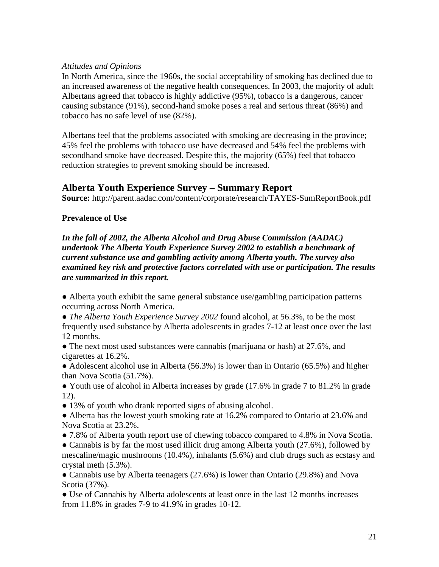#### *Attitudes and Opinions*

In North America, since the 1960s, the social acceptability of smoking has declined due to an increased awareness of the negative health consequences. In 2003, the majority of adult Albertans agreed that tobacco is highly addictive (95%), tobacco is a dangerous, cancer causing substance (91%), second-hand smoke poses a real and serious threat (86%) and tobacco has no safe level of use (82%).

Albertans feel that the problems associated with smoking are decreasing in the province; 45% feel the problems with tobacco use have decreased and 54% feel the problems with secondhand smoke have decreased. Despite this, the majority (65%) feel that tobacco reduction strategies to prevent smoking should be increased.

# **Alberta Youth Experience Survey – Summary Report**

**Source:** http://parent.aadac.com/content/corporate/research/TAYES-SumReportBook.pdf

## **Prevalence of Use**

*In the fall of 2002, the Alberta Alcohol and Drug Abuse Commission (AADAC) undertook The Alberta Youth Experience Survey 2002 to establish a benchmark of current substance use and gambling activity among Alberta youth. The survey also examined key risk and protective factors correlated with use or participation. The results are summarized in this report.* 

● Alberta youth exhibit the same general substance use/gambling participation patterns occurring across North America.

• *The Alberta Youth Experience Survey 2002* found alcohol, at 56.3%, to be the most frequently used substance by Alberta adolescents in grades 7-12 at least once over the last 12 months.

• The next most used substances were cannabis (marijuana or hash) at 27.6%, and cigarettes at 16.2%.

• Adolescent alcohol use in Alberta (56.3%) is lower than in Ontario (65.5%) and higher than Nova Scotia (51.7%).

● Youth use of alcohol in Alberta increases by grade (17.6% in grade 7 to 81.2% in grade 12).

• 13% of youth who drank reported signs of abusing alcohol.

• Alberta has the lowest youth smoking rate at 16.2% compared to Ontario at 23.6% and Nova Scotia at 23.2%.

● 7.8% of Alberta youth report use of chewing tobacco compared to 4.8% in Nova Scotia.

• Cannabis is by far the most used illicit drug among Alberta youth (27.6%), followed by mescaline/magic mushrooms (10.4%), inhalants (5.6%) and club drugs such as ecstasy and crystal meth (5.3%).

● Cannabis use by Alberta teenagers (27.6%) is lower than Ontario (29.8%) and Nova Scotia (37%).

● Use of Cannabis by Alberta adolescents at least once in the last 12 months increases from 11.8% in grades 7-9 to 41.9% in grades 10-12.